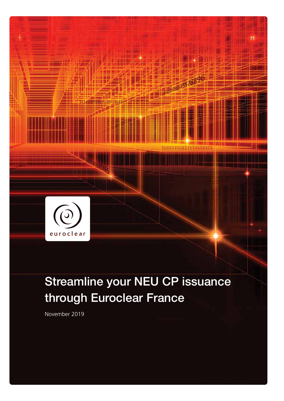

# Streamline your NEU CP issuance through Euroclear France

November 2019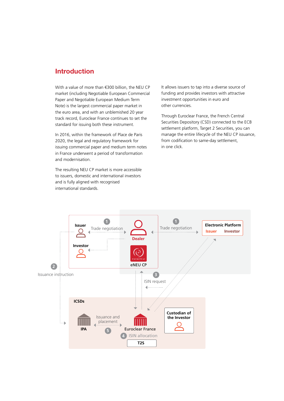### Introduction

With a value of more than €300 billion, the NEU CP market (including Negotiable European Commercial Paper and Negotiable European Medium Term Note) is the largest commercial paper market in the euro area, and with an unblemished 20 year track record, Euroclear France continues to set the standard for issuing both these instrument.

In 2016, within the framework of Place de Paris 2020, the legal and regulatory framework for issuing commercial paper and medium term notes in France underwent a period of transformation and modernisation.

The resulting NEU CP market is more accessible to issuers, domestic and international investors and is fully aligned with recognised international standards.

It allows issuers to tap into a diverse source of funding and provides investors with attractive investment opportunities in euro and other currencies.

Through Euroclear France, the French Central Securities Depository (CSD) connected to the ECB settlement platform, Target 2 Securities, you can manage the entire lifecycle of the NEU CP issuance, from codification to same-day settlement, in one click.

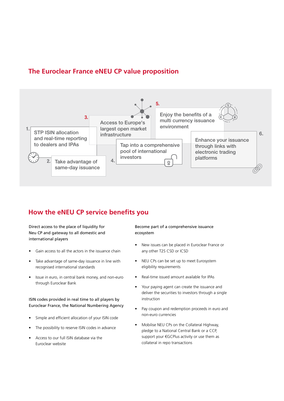## **The Euroclear France eNEU CP value proposition**



# **How the eNEU CP service benefits you**

#### Direct access to the place of liquidity for Neu CP and gateway to all domestic and international players

- Gain access to all the actors in the issuance chain
- Take advantage of same-day issuance in line with recognised international standards
- Issue in euro, in central bank money, and non-euro through Euroclear Bank

#### ISIN codes provided in real time to all players by Euroclear France, the National Numbering Agency

- Simple and efficient allocation of your ISIN code
- The possibility to reserve ISIN codes in advance
- Access to our full ISIN database via the Euroclear website

#### Become part of a comprehensive issuance ecosystem

- New issues can be placed in Euroclear France or any other T2S CSD or ICSD
- NEU CPs can be set up to meet Eurosystem eligibility requirements
- Real-time issued amount available for IPAs
- Your paying agent can create the issuance and deliver the securities to investors through a single instruction
- Pay coupon and redemption proceeds in euro and non-euro currencies
- Mobilise NEU CPs on the Collateral Highway, pledge to a National Central Bank or a CCP, support your €GCPlus activity or use them as collateral in repo transactions